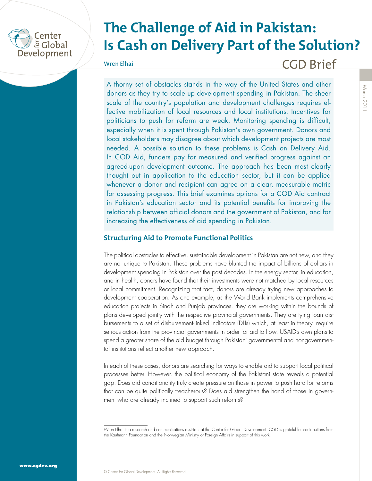

# **The Challenge of Aid in Pakistan: Is Cash on Delivery Part of the Solution?**

Wren Elhai

CGD Brief

A thorny set of obstacles stands in the way of the United States and other donors as they try to scale up development spending in Pakistan. The sheer scale of the country's population and development challenges requires effective mobilization of local resources and local institutions. Incentives for politicians to push for reform are weak. Monitoring spending is difficult, especially when it is spent through Pakistan's own government. Donors and local stakeholders may disagree about which development projects are most needed. A possible solution to these problems is Cash on Delivery Aid. In COD Aid, funders pay for measured and verified progress against an agreed-upon development outcome. The approach has been most clearly thought out in application to the education sector, but it can be applied whenever a donor and recipient can agree on a clear, measurable metric for assessing progress. This brief examines options for a COD Aid contract in Pakistan's education sector and its potential benefits for improving the relationship between official donors and the government of Pakistan, and for increasing the effectiveness of aid spending in Pakistan.

### **Structuring Aid to Promote Functional Politics**

The political obstacles to effective, sustainable development in Pakistan are not new, and they are not unique to Pakistan. These problems have blunted the impact of billions of dollars in development spending in Pakistan over the past decades. In the energy sector, in education, and in health, donors have found that their investments were not matched by local resources or local commitment. Recognizing that fact, donors are already trying new approaches to development cooperation. As one example, as the World Bank implements comprehensive education projects in Sindh and Punjab provinces, they are working within the bounds of plans developed jointly with the respective provincial governments. They are tying loan disbursements to a set of disbursement-linked indicators (DLIs) which, at least in theory, require serious action from the provincial governments in order for aid to flow. USAID's own plans to spend a greater share of the aid budget through Pakistani governmental and nongovernmental institutions reflect another new approach.

In each of these cases, donors are searching for ways to enable aid to support local political processes better. However, the political economy of the Pakistani state reveals a potential gap. Does aid conditionality truly create pressure on those in power to push hard for reforms that can be quite politically treacherous? Does aid strengthen the hand of those in government who are already inclined to support such reforms?

Wren Elhai is a research and communications assistant at the Center for Global Development. CGD is grateful for contributions from the Kaufmann Foundation and the Norwegian Ministry of Foreign Affairs in support of this work.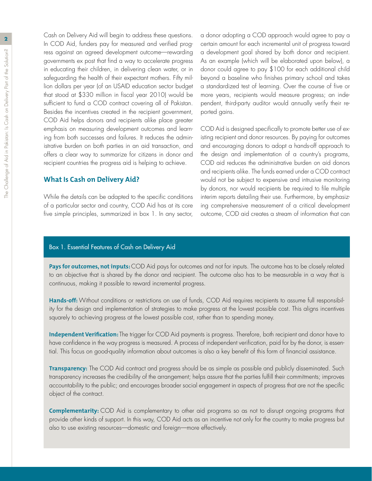**2** Cash on Delivery Aid will begin to address these questions. In COD Aid, funders pay for measured and verified progress against an agreed development outcome—rewarding governments ex post that find a way to accelerate progress in educating their children, in delivering clean water, or in safeguarding the health of their expectant mothers. Fifty million dollars per year (of an USAID education sector budget that stood at \$330 million in fiscal year 2010) would be sufficient to fund a COD contract covering all of Pakistan. Besides the incentives created in the recipient government, COD Aid helps donors and recipients alike place greater emphasis on measuring development outcomes and learning from both successes and failures. It reduces the administrative burden on both parties in an aid transaction, and offers a clear way to summarize for citizens in donor and recipient countries the progress aid is helping to achieve.

#### **What Is Cash on Delivery Aid?**

While the details can be adapted to the specific conditions of a particular sector and country, COD Aid has at its core five simple principles, summarized in box 1. In any sector,

a donor adopting a COD approach would agree to pay a certain amount for each incremental unit of progress toward a development goal shared by both donor and recipient. As an example (which will be elaborated upon below), a donor could agree to pay \$100 for each additional child beyond a baseline who finishes primary school and takes a standardized test of learning. Over the course of five or more years, recipients would measure progress; an independent, third-party auditor would annually verify their reported gains.

COD Aid is designed specifically to promote better use of existing recipient and donor resources. By paying for outcomes and encouraging donors to adopt a hands-off approach to the design and implementation of a country's programs, COD aid reduces the administrative burden on aid donors and recipients alike. The funds earned under a COD contract would not be subject to expensive and intrusive monitoring by donors, nor would recipients be required to file multiple interim reports detailing their use. Furthermore, by emphasizing comprehensive measurement of a critical development outcome, COD aid creates a stream of information that can

#### Box 1. Essential Features of Cash on Delivery Aid

Pays for outcomes, not inputs: COD Aid pays for outcomes and not for inputs. The outcome has to be closely related to an objective that is shared by the donor and recipient. The outcome also has to be measurable in a way that is continuous, making it possible to reward incremental progress.

Hands-off: Without conditions or restrictions on use of funds, COD Aid requires recipients to assume full responsibility for the design and implementation of strategies to make progress at the lowest possible cost. This aligns incentives squarely to achieving progress at the lowest possible cost, rather than to spending money.

**Independent Verification:** The trigger for COD Aid payments is progress. Therefore, both recipient and donor have to have confidence in the way progress is measured. A process of independent verification, paid for by the donor, is essential. This focus on good-quality information about outcomes is also a key benefit of this form of financial assistance.

**Transparency:** The COD Aid contract and progress should be as simple as possible and publicly disseminated. Such transparency increases the credibility of the arrangement; helps assure that the parties fulfill their commitments; improves accountability to the public; and encourages broader social engagement in aspects of progress that are not the specific object of the contract.

**Complementarity:** COD Aid is complementary to other aid programs so as not to disrupt ongoing programs that provide other kinds of support. In this way, COD Aid acts as an incentive not only for the country to make progress but also to use existing resources—domestic and foreign—more effectively.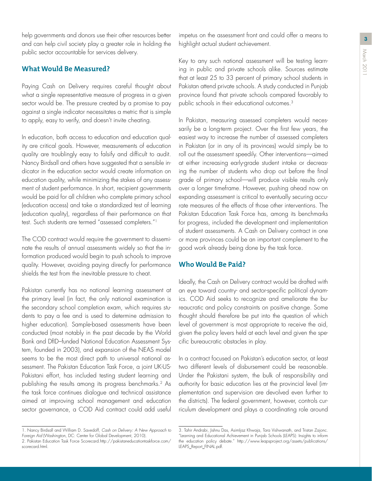**<sup>3</sup>** help governments and donors use their other resources better and can help civil society play a greater role in holding the public sector accountable for services delivery.

#### **What Would Be Measured?**

Paying Cash on Delivery requires careful thought about what a single representative measure of progress in a given sector would be. The pressure created by a promise to pay against a single indicator necessitates a metric that is simple to apply, easy to verify, and doesn't invite cheating.

In education, both access to education and education quality are critical goals. However, measurements of education quality are troublingly easy to falsify and difficult to audit. Nancy Birdsall and others have suggested that a sensible indicator in the education sector would create information on education quality, while minimizing the stakes of any assessment of student performance. In short, recipient governments would be paid for all children who complete primary school (education access) and take a standardized test of learning (education quality), regardless of their performance on that test. Such students are termed "assessed completers."1

The COD contract would require the government to disseminate the results of annual assessments widely so that the information produced would begin to push schools to improve quality. However, avoiding paying directly for performance shields the test from the inevitable pressure to cheat.

Pakistan currently has no national learning assessment at the primary level (in fact, the only national examination is the secondary school completion exam, which requires students to pay a fee and is used to determine admission to higher education). Sample-based assessments have been conducted (most notably in the past decade by the World Bank and DfID–funded National Education Assessment System, founded in 2003), and expansion of the NEAS model seems to be the most direct path to universal national assessment. The Pakistan Education Task Force, a joint UK-US-Pakistani effort, has included testing student learning and publishing the results among its progress benchmarks.2 As the task force continues dialogue and technical assistance aimed at improving school management and education sector governance, a COD Aid contract could add useful

impetus on the assessment front and could offer a means to highlight actual student achievement.

Key to any such national assessment will be testing learning in public and private schools alike. Sources estimate that at least 25 to 33 percent of primary school students in Pakistan attend private schools. A study conducted in Punjab province found that private schools compared favorably to public schools in their educational outcomes.3

In Pakistan, measuring assessed completers would necessarily be a long-term project. Over the first few years, the easiest way to increase the number of assessed completers in Pakistan (or in any of its provinces) would simply be to roll out the assessment speedily. Other interventions—aimed at either increasing early-grade student intake or decreasing the number of students who drop out before the final grade of primary school—will produce visible results only over a longer timeframe. However, pushing ahead now on expanding assessment is critical to eventually securing accurate measures of the effects of those other interventions. The Pakistan Education Task Force has, among its benchmarks for progress, included the development and implementation of student assessments. A Cash on Delivery contract in one or more provinces could be an important complement to the good work already being done by the task force.

#### **Who Would Be Paid?**

Ideally, the Cash on Delivery contract would be drafted with an eye toward country- and sector-specific political dynamics. COD Aid seeks to recognize and ameliorate the bureaucratic and policy constraints on positive change. Some thought should therefore be put into the question of which level of government is most appropriate to receive the aid, given the policy levers held at each level and given the specific bureaucratic obstacles in play.

In a contract focused on Pakistan's education sector, at least two different levels of disbursement could be reasonable. Under the Pakistani system, the bulk of responsibility and authority for basic education lies at the provincial level (implementation and supervision are devolved even further to the districts). The federal government, however, controls curriculum development and plays a coordinating role around

<sup>1.</sup> Nancy Birdsall and William D. Savedoff, *Cash on Delivery: A New Approach to Foreign Aid* (Washington, DC: Center for Global Development, 2010).

<sup>2.</sup> Pakistan Education Task Force Scorecard.http://pakistaneducationtaskforce.com/ scorecard.html

<sup>3.</sup> Tahir Andrabi, Jishnu Das, AsimIjaz Khwaja, Tara Vishwanath, and Tristan Zajonc. "Learning and Educational Achievement in Punjab Schools (LEAPS): Insights to inform the education policy debate." http://www.leapsproject.org/assets/publications/ LEAPS\_Report\_FINAL.pdf.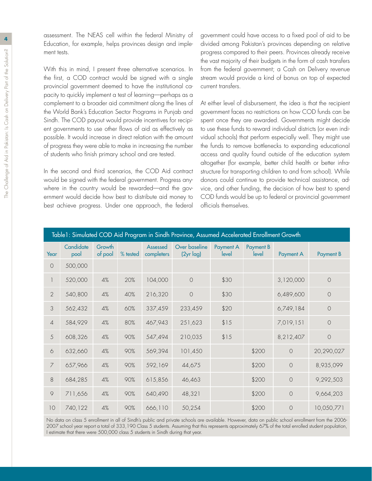**4** assessment. The NEAS cell within the federal Ministry of Education, for example, helps provinces design and implement tests.

> With this in mind, I present three alternative scenarios. In the first, a COD contract would be signed with a single provincial government deemed to have the institutional capacity to quickly implement a test of learning—perhaps as a complement to a broader aid commitment along the lines of the World Bank's Education Sector Programs in Punjab and Sindh. The COD payout would provide incentives for recipient governments to use other flows of aid as effectively as possible. It would increase in direct relation with the amount of progress they were able to make in increasing the number of students who finish primary school and are tested.

> In the second and third scenarios, the COD Aid contract would be signed with the federal government. Progress anywhere in the country would be rewarded—and the government would decide how best to distribute aid money to best achieve progress. Under one approach, the federal

government could have access to a fixed pool of aid to be divided among Pakistan's provinces depending on relative progress compared to their peers. Provinces already receive the vast majority of their budgets in the form of cash transfers from the federal government; a Cash on Delivery revenue stream would provide a kind of bonus on top of expected current transfers.

At either level of disbursement, the idea is that the recipient government faces no restrictions on how COD funds can be spent once they are awarded. Governments might decide to use these funds to reward individual districts (or even individual schools) that perform especially well. They might use the funds to remove bottlenecks to expanding educational access and quality found outside of the education system altogether (for example, better child health or better infrastructure for transporting children to and from school). While donors could continue to provide technical assistance, advice, and other funding, the decision of how best to spend COD funds would be up to federal or provincial government officials themselves.

| Table1: Simulated COD Aid Program in Sindh Province, Assumed Accelerated Enrollment Growth |                   |                   |          |                        |                               |                    |                    |                  |            |  |
|--------------------------------------------------------------------------------------------|-------------------|-------------------|----------|------------------------|-------------------------------|--------------------|--------------------|------------------|------------|--|
| Year                                                                                       | Candidate<br>pool | Growth<br>of pool | % tested | Assessed<br>completers | Over baseline<br>$(2yr \log)$ | Payment A<br>level | Payment B<br>level | <b>Payment A</b> | Payment B  |  |
| $\circ$                                                                                    | 500,000           |                   |          |                        |                               |                    |                    |                  |            |  |
|                                                                                            | 520,000           | 4%                | 20%      | 104,000                | $\circ$                       | \$30               |                    | 3,120,000        | $\circ$    |  |
| $\overline{2}$                                                                             | 540,800           | $4\%$             | 40%      | 216,320                | $\bigcirc$                    | \$30               |                    | 6,489,600        | $\bigcirc$ |  |
| $\mathfrak{Z}$                                                                             | 562,432           | $4\%$             | 60%      | 337,459                | 233,459                       | \$20               |                    | 6,749,184        | $\bigcirc$ |  |
| $\overline{4}$                                                                             | 584,929           | $4\%$             | 80%      | 467,943                | 251,623                       | \$15               |                    | 7,019,151        | $\bigcirc$ |  |
| 5                                                                                          | 608,326           | $4\%$             | 90%      | 547,494                | 210,035                       | \$15               |                    | 8,212,407        | $\bigcirc$ |  |
| 6                                                                                          | 632,660           | $4\%$             | 90%      | 569,394                | 101,450                       |                    | \$200              | $\circ$          | 20,290,027 |  |
| $\overline{7}$                                                                             | 657,966           | 4%                | 90%      | 592,169                | 44,675                        |                    | \$200              | $\circ$          | 8,935,099  |  |
| 8                                                                                          | 684,285           | $4\%$             | 90%      | 615,856                | 46,463                        |                    | \$200              | $\circ$          | 9,292,503  |  |
| $\hbox{ }^{\text{}}\hbox{ }^{\text{}}\hbox{ }$                                             | 711,656           | 4%                | 90%      | 640,490                | 48,321                        |                    | \$200              | $\circ$          | 9,664,203  |  |
| 10                                                                                         | 740,122           | 4%                | 90%      | 666,110                | 50,254                        |                    | \$200              | $\circ$          | 10,050,771 |  |

No data on class 5 enrollment in all of Sindh's public and private schools are available. However, data on public school enrollment from the 2006- 2007 school year report a total of 333,190 Class 5 students. Assuming that this represents approximately 67% of the total enrolled student population, I estimate that there were 500,000 class 5 students in Sindh during that year.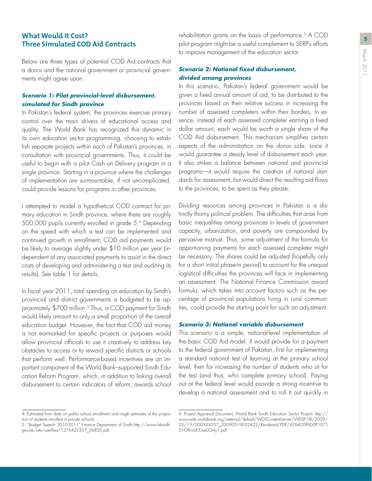# **Three Simulated COD Aid Contracts**

Below are three types of potential COD Aid contracts that a donor and the national government or provincial governments might agree upon.

#### *Scenario 1: Pilot provincial-level disbursement, simulated for Sindh province*

In Pakistan's federal system, the provinces exercise primary control over the main drivers of educational access and quality. The World Bank has recognized this dynamic in its own education sector programming, choosing to establish separate projects within each of Pakistan's provinces, in consultation with provincial governments. Thus, it could be useful to begin with a pilot Cash on Delivery program in a single province. Starting in a province where the challenges of implementation are surmountable, if not uncomplicated, could provide lessons for programs in other provinces.

I attempted to model a hypothetical COD contract for primary education in Sindh province, where there are roughly 500,000 pupils currently enrolled in grade 5.4 Depending on the speed with which a test can be implemented and continued growth in enrollment, COD aid payments would be likely to average slightly under \$10 million per year (independent of any associated payments to assist in the direct costs of developing and administering a test and auditing its results). See table 1 for details.

In fiscal year 2011, total spending on education by Sindh's provincial and district governments is budgeted to be approximately \$700 million.<sup>5</sup> Thus, a COD payment for Sindh would likely amount to only a small proportion of the overall education budget. However, the fact that COD aid money is not earmarked for specific projects or purposes would allow provincial officials to use it creatively to address key obstacles to access or to reward specific districts or schools that perform well. Performance-based incentives are an important component of the World Bank–supported Sindh Education Reform Program, which, in addition to linking overall disbursement to certain indicators of reform, awards school

**What Would It Cost? 5** pilot program might be a useful complement to SERP's efforts to improve management of the education sector.

#### *Scenario 2: National fixed disbursement, divided among provinces*

In this scenario, Pakistan's federal government would be given a fixed annual amount of aid, to be distributed to the provinces based on their relative success in increasing the number of assessed completers within their borders. In essence, instead of each assessed completer earning a fixed dollar amount, each would be worth a single share of the COD Aid disbursement. This mechanism simplifies certain aspects of the administration on the donor side, since it would guarantee a steady level of disbursement each year. It also strikes a balance between national and provincial programs—it would require the creation of national standards for assessment, but would direct the resulting aid flows to the provinces, to be spent as they please.

Dividing resources among provinces in Pakistan is a distinctly thorny political problem. The difficulties that arise from basic inequalities among provinces in levels of government capacity, urbanization, and poverty are compounded by pervasive mistrust. Thus, some adjustment of the formula for apportioning payments for each assessed completer might be necessary. The shares could be adjusted (hopefully only for a short initial phase-in period) to account for the unequal logistical difficulties the provinces will face in implementing an assessment. The National Finance Commission award formula, which takes into account factors such as the percentage of provincial populations living in rural communities, could provide the starting point for such an adjustment.

#### *Scenario 3: National variable disbursement*

This scenario is a simple, national-level implementation of the basic COD Aid model. It would provide for a payment to the federal government of Pakistan, first for implementing a standard national test of learning at the primary school level, then for increasing the number of students who sit for the test (and thus, who complete primary school). Paying out at the federal level would provide a strong incentive to develop a national assessment and to roll it out quickly in

<sup>4.</sup> Estimated from data on public school enrollment and rough estimates of the proportion of students enrolled in private schools.

<sup>5. &</sup>quot;Budget Speech 2010-2011" Finance Department of Sindh.http://www.fdsindh. gov.pk/site/userfiles/1276422357\_56820.pdf.

<sup>6.</sup> Project Appraisal Document, World Bank Sindh Education Sector Project. http:// www-wds.worldbank.org/external/default/WDSContentServer/WDSP/IB/2009/ 05/19/000333037\_20090519032422/Rendered/PDF/476420PAD0P1071 01Offciial0Use0Only1.pdf.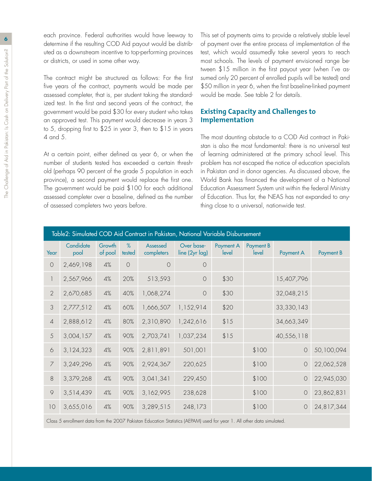**6** each province. Federal authorities would have leeway to determine if the resulting COD Aid payout would be distributed as a downstream incentive to top-performing provinces or districts, or used in some other way.

> The contract might be structured as follows: For the first five years of the contract, payments would be made per assessed completer, that is, per student taking the standardized test. In the first and second years of the contract, the government would be paid \$30 for every student who takes an approved test. This payment would decrease in years 3 to 5, dropping first to \$25 in year 3, then to \$15 in years 4 and 5.

> At a certain point, either defined as year 6, or when the number of students tested has exceeded a certain threshold (perhaps 90 percent of the grade 5 population in each province), a second payment would replace the first one. The government would be paid \$100 for each additional assessed completer over a baseline, defined as the number of assessed completers two years before.

This set of payments aims to provide a relatively stable level of payment over the entire process of implementation of the test, which would assumedly take several years to reach most schools. The levels of payment envisioned range between \$15 million in the first payout year (when I've assumed only 20 percent of enrolled pupils will be tested) and \$50 million in year 6, when the first baseline-linked payment would be made. See table 2 for details.

### **Existing Capacity and Challenges to Implementation**

The most daunting obstacle to a COD Aid contract in Pakistan is also the most fundamental: there is no universal test of learning administered at the primary school level. This problem has not escaped the notice of education specialists in Pakistan and in donor agencies. As discussed above, the World Bank has financed the development of a National Education Assessment System unit within the federal Ministry of Education. Thus far, the NEAS has not expanded to anything close to a universal, nationwide test.

| Table2: Simulated COD Aid Contract in Pakistan, National Variable Disbursement |                   |                   |             |                        |                              |                    |                    |            |                  |  |
|--------------------------------------------------------------------------------|-------------------|-------------------|-------------|------------------------|------------------------------|--------------------|--------------------|------------|------------------|--|
| Year                                                                           | Candidate<br>pool | Growth<br>of pool | %<br>tested | Assessed<br>completers | Over base-<br>line (2yr lag) | Payment A<br>level | Payment B<br>level | Payment A  | <b>Payment B</b> |  |
| $\bigcirc$                                                                     | 2,469,198         | 4%                | $\bigcirc$  | $\circ$                | $\circ$                      |                    |                    |            |                  |  |
|                                                                                | 2,567,966         | 4%                | 20%         | 513,593                | $\circ$                      | \$30               |                    | 15,407,796 |                  |  |
| $\overline{2}$                                                                 | 2,670,685         | 4%                | 40%         | 1,068,274              | $\bigcirc$                   | \$30               |                    | 32,048,215 |                  |  |
| 3                                                                              | 2,777,512         | 4%                | 60%         | 1,666,507              | 1,152,914                    | \$20               |                    | 33,330,143 |                  |  |
| $\sqrt{4}$                                                                     | 2,888,612         | 4%                | 80%         | 2,310,890              | 1,242,616                    | \$15               |                    | 34,663,349 |                  |  |
| 5                                                                              | 3,004,157         | 4%                | 90%         | 2,703,741              | 1,037,234                    | \$15               |                    | 40,556,118 |                  |  |
| $\circ$                                                                        | 3,124,323         | $4\%$             | 90%         | 2,811,891              | 501,001                      |                    | \$100              | $\bigcirc$ | 50,100,094       |  |
| $\overline{7}$                                                                 | 3,249,296         | $4\%$             | 90%         | 2,924,367              | 220,625                      |                    | \$100              | $\circ$    | 22,062,528       |  |
| 8                                                                              | 3,379,268         | 4%                | 90%         | 3,041,341              | 229,450                      |                    | \$100              | $\circ$    | 22,945,030       |  |
| 9                                                                              | 3,514,439         | 4%                | 90%         | 3,162,995              | 238,628                      |                    | \$100              | $\circ$    | 23,862,831       |  |
| 10                                                                             | 3,655,016         | 4%                | 90%         | 3,289,515              | 248,173                      |                    | \$100              | $\bigcirc$ | 24,817,344       |  |
|                                                                                |                   |                   |             |                        |                              |                    |                    |            |                  |  |

Class 5 enrollment data from the 2007 Pakistan Education Statistics (AEPAM) used for year 1. All other data simulated.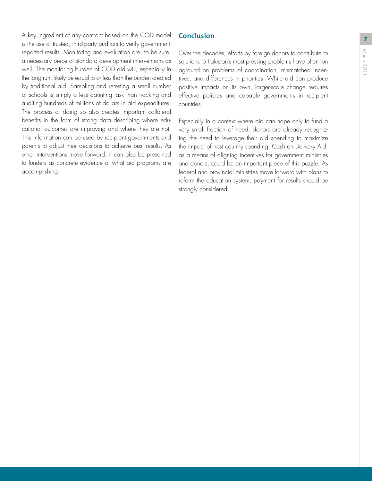A key ingredient of any contract based on the COD model **Conclusion** is the use of trusted, third-party auditors to verify governmentreported results. Monitoring and evaluation are, to be sure, a necessary piece of standard development interventions as well. The monitoring burden of COD aid will, especially in the long run, likely be equal to or less than the burden created by traditional aid. Sampling and retesting a small number of schools is simply a less daunting task than tracking and auditing hundreds of millions of dollars in aid expenditures. The process of doing so also creates important collateral benefits in the form of strong data describing where educational outcomes are improving and where they are not. This information can be used by recipient governments and parents to adjust their decisions to achieve best results. As other interventions move forward, it can also be presented to funders as concrete evidence of what aid programs are accomplishing.

## **Conclusion**

Over the decades, efforts by foreign donors to contribute to solutions to Pakistan's most pressing problems have often run aground on problems of coordination, mismatched incentives, and differences in priorities. While aid can produce positive impacts on its own, larger-scale change requires effective policies and capable governments in recipient countries.

Especially in a context where aid can hope only to fund a very small fraction of need, donors are already recognizing the need to leverage their aid spending to maximize the impact of host country spending. Cash on Delivery Aid, as a means of aligning incentives for government ministries and donors, could be an important piece of this puzzle. As federal and provincial ministries move forward with plans to reform the education system, payment for results should be strongly considered.